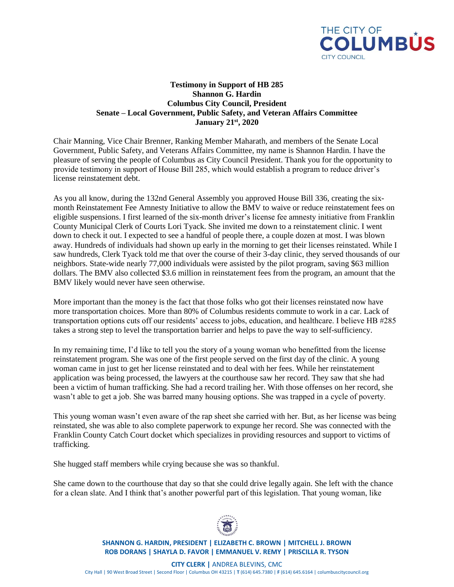

## **Testimony in Support of HB 285 Shannon G. Hardin Columbus City Council, President Senate – Local Government, Public Safety, and Veteran Affairs Committee January 21st, 2020**

Chair Manning, Vice Chair Brenner, Ranking Member Maharath, and members of the Senate Local Government, Public Safety, and Veterans Affairs Committee, my name is Shannon Hardin. I have the pleasure of serving the people of Columbus as City Council President. Thank you for the opportunity to provide testimony in support of House Bill 285, which would establish a program to reduce driver's license reinstatement debt.

As you all know, during the 132nd General Assembly you approved House Bill 336, creating the sixmonth Reinstatement Fee Amnesty Initiative to allow the BMV to waive or reduce reinstatement fees on eligible suspensions. I first learned of the six-month driver's license fee amnesty initiative from Franklin County Municipal Clerk of Courts Lori Tyack. She invited me down to a reinstatement clinic. I went down to check it out. I expected to see a handful of people there, a couple dozen at most. I was blown away. Hundreds of individuals had shown up early in the morning to get their licenses reinstated. While I saw hundreds, Clerk Tyack told me that over the course of their 3-day clinic, they served thousands of our neighbors. State-wide nearly 77,000 individuals were assisted by the pilot program, saving \$63 million dollars. The BMV also collected \$3.6 million in reinstatement fees from the program, an amount that the BMV likely would never have seen otherwise.

More important than the money is the fact that those folks who got their licenses reinstated now have more transportation choices. More than 80% of Columbus residents commute to work in a car. Lack of transportation options cuts off our residents' access to jobs, education, and healthcare. I believe HB #285 takes a strong step to level the transportation barrier and helps to pave the way to self-sufficiency.

In my remaining time, I'd like to tell you the story of a young woman who benefitted from the license reinstatement program. She was one of the first people served on the first day of the clinic. A young woman came in just to get her license reinstated and to deal with her fees. While her reinstatement application was being processed, the lawyers at the courthouse saw her record. They saw that she had been a victim of human trafficking. She had a record trailing her. With those offenses on her record, she wasn't able to get a job. She was barred many housing options. She was trapped in a cycle of poverty.

This young woman wasn't even aware of the rap sheet she carried with her. But, as her license was being reinstated, she was able to also complete paperwork to expunge her record. She was connected with the Franklin County Catch Court docket which specializes in providing resources and support to victims of trafficking.

She hugged staff members while crying because she was so thankful.

She came down to the courthouse that day so that she could drive legally again. She left with the chance for a clean slate. And I think that's another powerful part of this legislation. That young woman, like



**SHANNON G. HARDIN, PRESIDENT | ELIZABETH C. BROWN | MITCHELL J. BROWN ROB DORANS | SHAYLA D. FAVOR | EMMANUEL V. REMY | PRISCILLA R. TYSON**